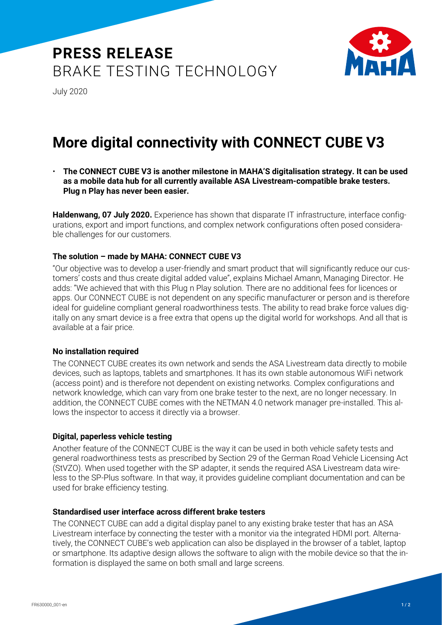# **PRESS RELEASE** BRAKE TESTING TECHNOLOGY



July 2020

### **More digital connectivity with CONNECT CUBE V3**

• **The CONNECT CUBE V3 is another milestone in MAHA'S digitalisation strategy. It can be used as a mobile data hub for all currently available ASA Livestream-compatible brake testers. Plug n Play has never been easier.**

**Haldenwang, 07 July 2020.** Experience has shown that disparate IT infrastructure, interface configurations, export and import functions, and complex network configurations often posed considerable challenges for our customers.

### **The solution – made by MAHA: CONNECT CUBE V3**

"Our objective was to develop a user-friendly and smart product that will significantly reduce our customers' costs and thus create digital added value", explains Michael Amann, Managing Director. He adds: "We achieved that with this Plug n Play solution. There are no additional fees for licences or apps. Our CONNECT CUBE is not dependent on any specific manufacturer or person and is therefore ideal for guideline compliant general roadworthiness tests. The ability to read brake force values digitally on any smart device is a free extra that opens up the digital world for workshops. And all that is available at a fair price.

### **No installation required**

The CONNECT CUBE creates its own network and sends the ASA Livestream data directly to mobile devices, such as laptops, tablets and smartphones. It has its own stable autonomous WiFi network (access point) and is therefore not dependent on existing networks. Complex configurations and network knowledge, which can vary from one brake tester to the next, are no longer necessary. In addition, the CONNECT CUBE comes with the NETMAN 4.0 network manager pre-installed. This allows the inspector to access it directly via a browser.

### **Digital, paperless vehicle testing**

Another feature of the CONNECT CUBE is the way it can be used in both vehicle safety tests and general roadworthiness tests as prescribed by Section 29 of the German Road Vehicle Licensing Act (StVZO). When used together with the SP adapter, it sends the required ASA Livestream data wireless to the SP-Plus software. In that way, it provides guideline compliant documentation and can be used for brake efficiency testing.

### **Standardised user interface across different brake testers**

The CONNECT CUBE can add a digital display panel to any existing brake tester that has an ASA Livestream interface by connecting the tester with a monitor via the integrated HDMI port. Alternatively, the CONNECT CUBE's web application can also be displayed in the browser of a tablet, laptop or smartphone. Its adaptive design allows the software to align with the mobile device so that the information is displayed the same on both small and large screens.